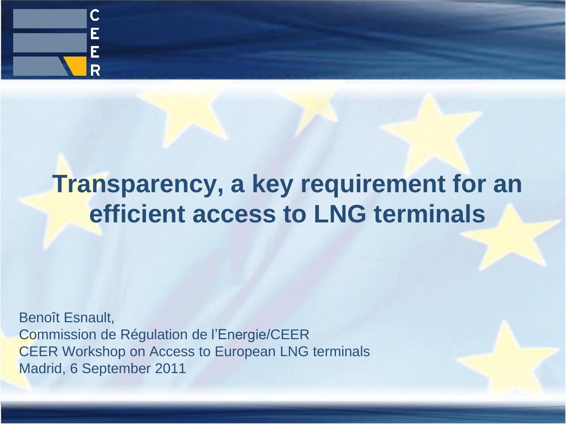

# **Transparency, a key requirement for an efficient access to LNG terminals**

Benoît Esnault, Commission de Régulation de l'Energie/CEER CEER Workshop on Access to European LNG terminals Madrid, 6 September 2011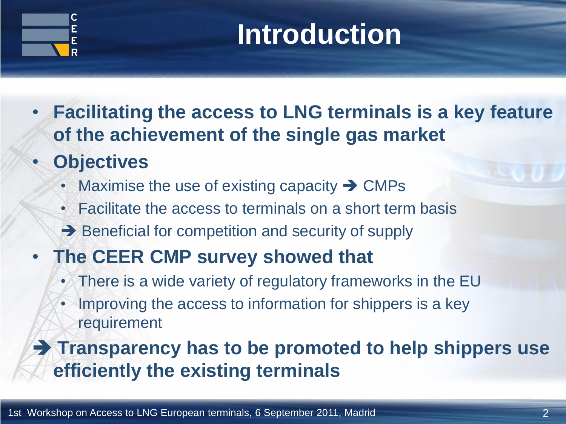

# **Introduction**

- **Facilitating the access to LNG terminals is a key feature of the achievement of the single gas market**
- **Objectives**
	- Maximise the use of existing capacity  $\rightarrow$  CMPs
	- Facilitate the access to terminals on a short term basis
	- $\rightarrow$  Beneficial for competition and security of supply
- **The CEER CMP survey showed that**
	- There is a wide variety of regulatory frameworks in the EU
	- Improving the access to information for shippers is a key requirement

#### **Transparency has to be promoted to help shippers use efficiently the existing terminals**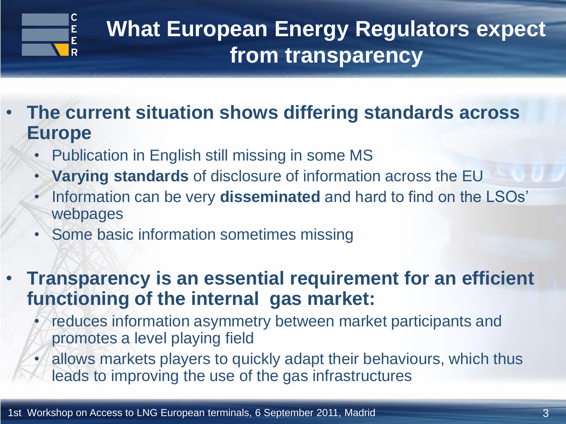

## **What European Energy Regulators expect from transparency**

- **The current situation shows differing standards across Europe**
	- Publication in English still missing in some MS
	- **Varying standards** of disclosure of information across the EU
	- Information can be very **disseminated** and hard to find on the LSOs' webpages
	- Some basic information sometimes missing
- **Transparency is an essential requirement for an efficient functioning of the internal gas market:**
	- reduces information asymmetry between market participants and promotes a level playing field
	- allows markets players to quickly adapt their behaviours, which thus leads to improving the use of the gas infrastructures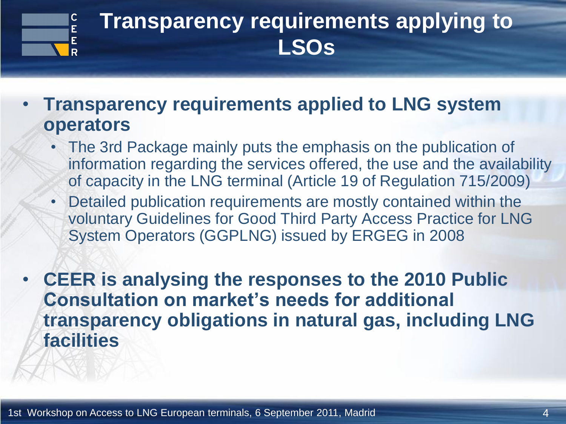

### **Transparency requirements applying to LSOs**

- **Transparency requirements applied to LNG system operators**
	- The 3rd Package mainly puts the emphasis on the publication of information regarding the services offered, the use and the availability of capacity in the LNG terminal (Article 19 of Regulation 715/2009)
	- Detailed publication requirements are mostly contained within the voluntary Guidelines for Good Third Party Access Practice for LNG System Operators (GGPLNG) issued by ERGEG in 2008

• **CEER is analysing the responses to the 2010 Public Consultation on market's needs for additional transparency obligations in natural gas, including LNG facilities**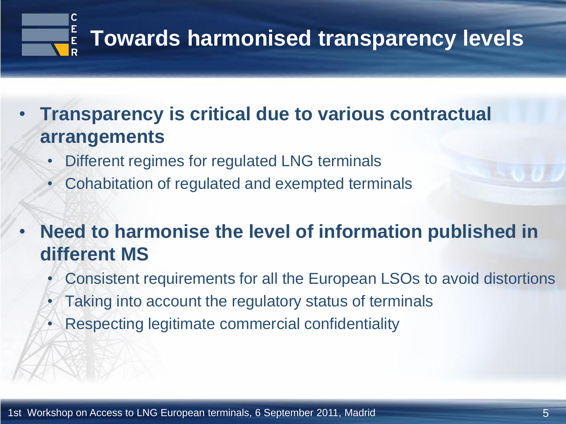

- **Transparency is critical due to various contractual arrangements**
	- Different regimes for regulated LNG terminals
	- Cohabitation of regulated and exempted terminals
- **Need to harmonise the level of information published in different MS**
	- Consistent requirements for all the European LSOs to avoid distortions
	- Taking into account the regulatory status of terminals
	- Respecting legitimate commercial confidentiality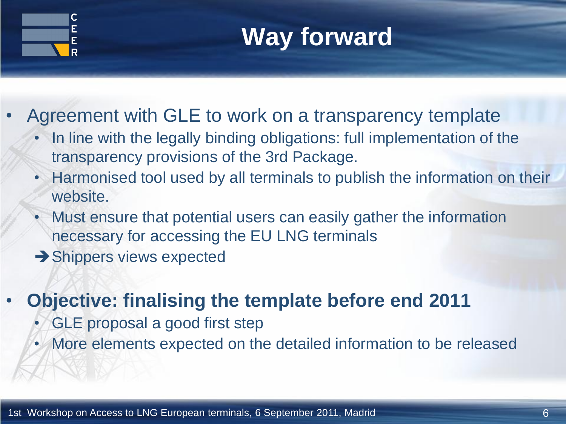

**Way forward**

- Agreement with GLE to work on a transparency template
	- In line with the legally binding obligations: full implementation of the transparency provisions of the 3rd Package.
	- Harmonised tool used by all terminals to publish the information on their website.
	- Must ensure that potential users can easily gather the information necessary for accessing the EU LNG terminals
	- $\rightarrow$  Shippers views expected

#### • **Objective: finalising the template before end 2011**

- GLE proposal a good first step
- More elements expected on the detailed information to be released